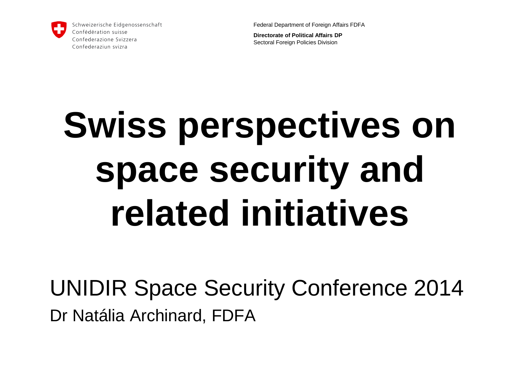

Federal Department of Foreign Affairs FDFA

**Directorate of Political Affairs DP** Sectoral Foreign Policies Division

# **Swiss perspectives on space security and related initiatives**

UNIDIR Space Security Conference 2014 Dr Natália Archinard, FDFA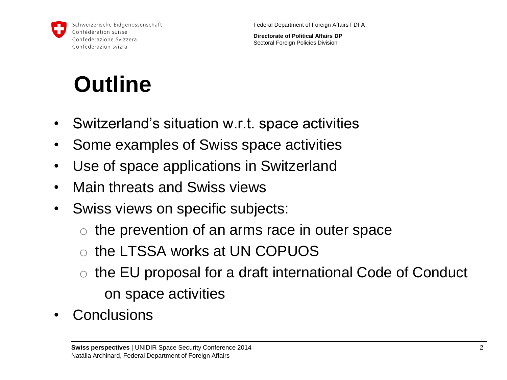

**Directorate of Political Affairs DP** Sectoral Foreign Policies Division

## **Outline**

- Switzerland's situation w.r.t. space activities
- Some examples of Swiss space activities
- Use of space applications in Switzerland
- Main threats and Swiss views
- Swiss views on specific subjects:
	- $\circ$  the prevention of an arms race in outer space
	- o the LTSSA works at UN COPUOS
	- o the EU proposal for a draft international Code of Conduct on space activities
- **Conclusions**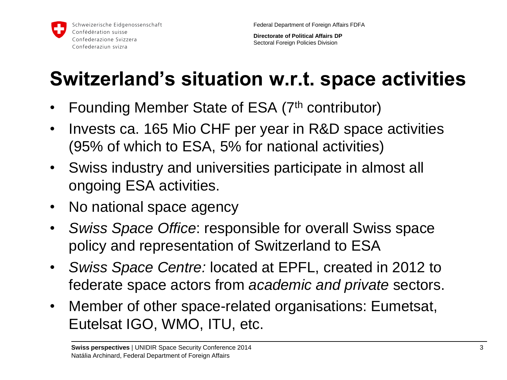**Directorate of Political Affairs DP** Sectoral Foreign Policies Division

### **Switzerland's situation w.r.t. space activities**

- Founding Member State of ESA (7<sup>th</sup> contributor)
- Invests ca. 165 Mio CHF per year in R&D space activities (95% of which to ESA, 5% for national activities)
- Swiss industry and universities participate in almost all ongoing ESA activities.
- No national space agency
- *Swiss Space Office*: responsible for overall Swiss space policy and representation of Switzerland to ESA
- *Swiss Space Centre:* located at EPFL, created in 2012 to federate space actors from *academic and private* sectors.
- Member of other space-related organisations: Eumetsat, Eutelsat IGO, WMO, ITU, etc.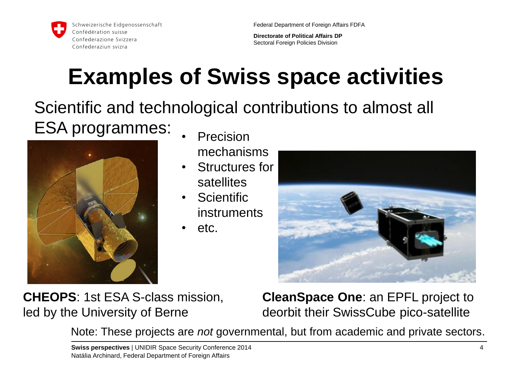

Federal Department of Foreign Affairs FDFA

**Directorate of Political Affairs DP** Sectoral Foreign Policies Division

## **Examples of Swiss space activities**

Scientific and technological contributions to almost all ESA programmes:



- **Precision** mechanisms
- Structures for satellites
- Scientific instruments
- etc.



**CHEOPS**: 1st ESA S-class mission, led by the University of Berne

**CleanSpace One**: an EPFL project to deorbit their SwissCube pico-satellite

Note: These projects are *not* governmental, but from academic and private sectors.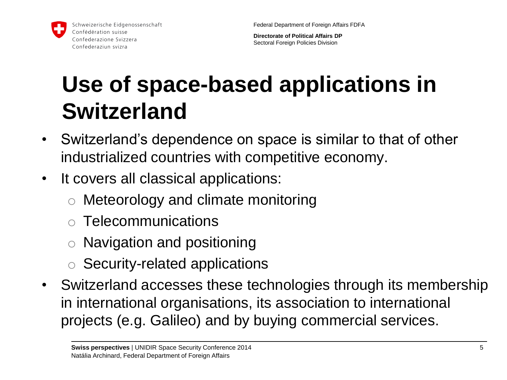

Federal Department of Foreign Affairs FDFA

**Directorate of Political Affairs DP** Sectoral Foreign Policies Division

## **Use of space-based applications in Switzerland**

- Switzerland's dependence on space is similar to that of other industrialized countries with competitive economy.
- It covers all classical applications:
	- o Meteorology and climate monitoring
	- o Telecommunications
	- Navigation and positioning
	- o Security-related applications
- Switzerland accesses these technologies through its membership in international organisations, its association to international projects (e.g. Galileo) and by buying commercial services.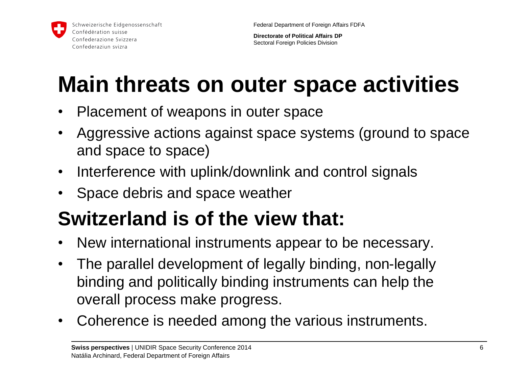**Directorate of Political Affairs DP** Sectoral Foreign Policies Division

## **Main threats on outer space activities**

- Placement of weapons in outer space
- Aggressive actions against space systems (ground to space and space to space)
- Interference with uplink/downlink and control signals
- Space debris and space weather

#### **Switzerland is of the view that:**

- New international instruments appear to be necessary.
- The parallel development of legally binding, non-legally binding and politically binding instruments can help the overall process make progress.
- Coherence is needed among the various instruments.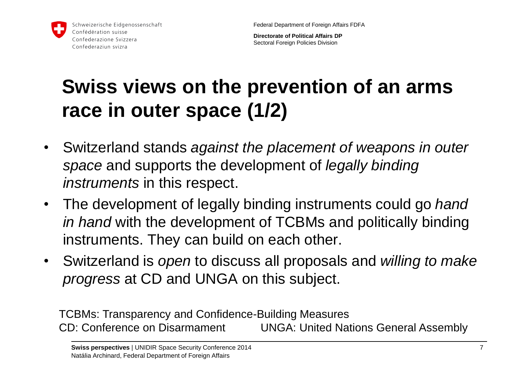

**Directorate of Political Affairs DP** Sectoral Foreign Policies Division

#### **Swiss views on the prevention of an arms race in outer space (1/2)**

- Switzerland stands *against the placement of weapons in outer space* and supports the development of *legally binding instruments* in this respect.
- The development of legally binding instruments could go *hand in hand* with the development of TCBMs and politically binding instruments. They can build on each other.
- Switzerland is *open* to discuss all proposals and *willing to make progress* at CD and UNGA on this subject.

TCBMs: Transparency and Confidence-Building Measures CD: Conference on Disarmament UNGA: United Nations General Assembly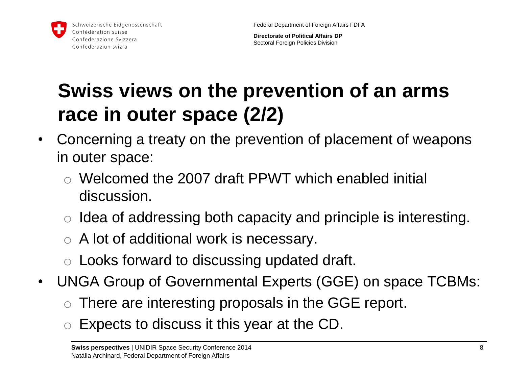

**Directorate of Political Affairs DP** Sectoral Foreign Policies Division

#### **Swiss views on the prevention of an arms race in outer space (2/2)**

- Concerning a treaty on the prevention of placement of weapons in outer space:
	- o Welcomed the 2007 draft PPWT which enabled initial discussion.
	- $\circ$  Idea of addressing both capacity and principle is interesting.
	- $\circ$  A lot of additional work is necessary.
	- o Looks forward to discussing updated draft.
- UNGA Group of Governmental Experts (GGE) on space TCBMs:
	- $\circ$  There are interesting proposals in the GGE report.
	- Expects to discuss it this year at the CD.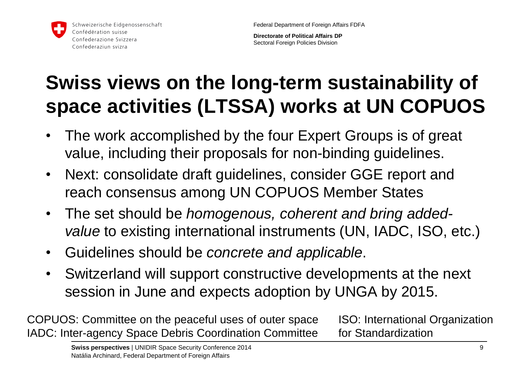**Directorate of Political Affairs DP** Sectoral Foreign Policies Division

#### **Swiss views on the long-term sustainability of space activities (LTSSA) works at UN COPUOS**

- The work accomplished by the four Expert Groups is of great value, including their proposals for non-binding guidelines.
- Next: consolidate draft guidelines, consider GGE report and reach consensus among UN COPUOS Member States
- The set should be *homogenous, coherent and bring addedvalue* to existing international instruments (UN, IADC, ISO, etc.)
- Guidelines should be *concrete and applicable*.
- Switzerland will support constructive developments at the next session in June and expects adoption by UNGA by 2015.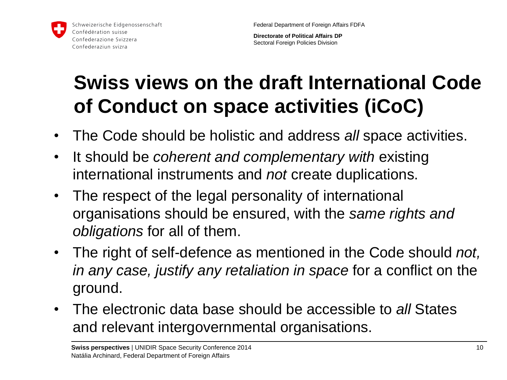

Federal Department of Foreign Affairs FDFA

**Directorate of Political Affairs DP** Sectoral Foreign Policies Division

#### **Swiss views on the draft International Code of Conduct on space activities (iCoC)**

- The Code should be holistic and address *all* space activities.
- It should be *coherent and complementary with* existing international instruments and *not* create duplications.
- The respect of the legal personality of international organisations should be ensured, with the *same rights and obligations* for all of them.
- The right of self-defence as mentioned in the Code should *not, in any case, justify any retaliation in space* for a conflict on the ground.
- The electronic data base should be accessible to *all* States and relevant intergovernmental organisations.